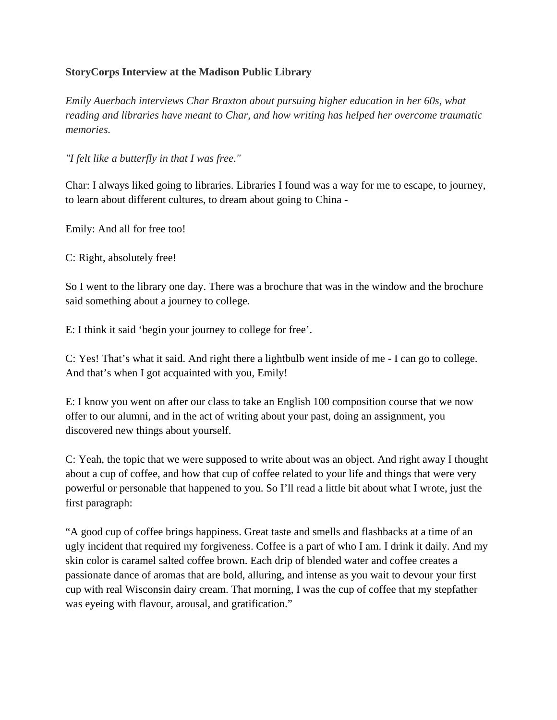## **StoryCorps Interview at the Madison Public Library**

*Emily Auerbach interviews Char Braxton about pursuing higher education in her 60s, what reading and libraries have meant to Char, and how writing has helped her overcome traumatic memories.*

*"I felt like a butterfly in that I was free."*

Char: I always liked going to libraries. Libraries I found was a way for me to escape, to journey, to learn about different cultures, to dream about going to China -

Emily: And all for free too!

C: Right, absolutely free!

So I went to the library one day. There was a brochure that was in the window and the brochure said something about a journey to college.

E: I think it said 'begin your journey to college for free'.

C: Yes! That's what it said. And right there a lightbulb went inside of me - I can go to college. And that's when I got acquainted with you, Emily!

E: I know you went on after our class to take an English 100 composition course that we now offer to our alumni, and in the act of writing about your past, doing an assignment, you discovered new things about yourself.

C: Yeah, the topic that we were supposed to write about was an object. And right away I thought about a cup of coffee, and how that cup of coffee related to your life and things that were very powerful or personable that happened to you. So I'll read a little bit about what I wrote, just the first paragraph:

"A good cup of coffee brings happiness. Great taste and smells and flashbacks at a time of an ugly incident that required my forgiveness. Coffee is a part of who I am. I drink it daily. And my skin color is caramel salted coffee brown. Each drip of blended water and coffee creates a passionate dance of aromas that are bold, alluring, and intense as you wait to devour your first cup with real Wisconsin dairy cream. That morning, I was the cup of coffee that my stepfather was eyeing with flavour, arousal, and gratification."